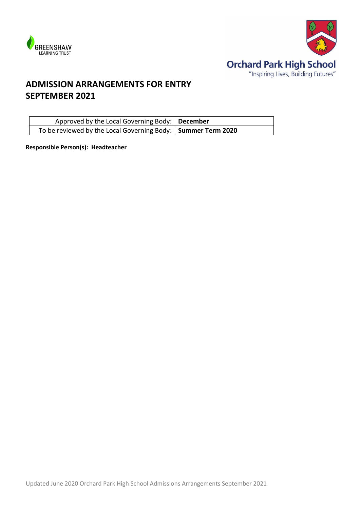



# **ADMISSION ARRANGEMENTS FOR ENTRY SEPTEMBER 2021**

| Approved by the Local Governing Body:   December               |  |
|----------------------------------------------------------------|--|
| To be reviewed by the Local Governing Body:   Summer Term 2020 |  |

**Responsible Person(s): Headteacher**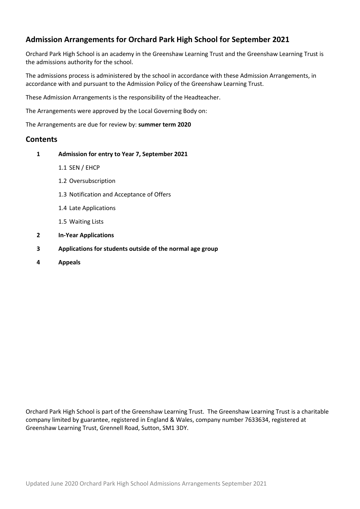# **Admission Arrangements for Orchard Park High School for September 2021**

Orchard Park High School is an academy in the Greenshaw Learning Trust and the Greenshaw Learning Trust is the admissions authority for the school.

The admissions process is administered by the school in accordance with these Admission Arrangements, in accordance with and pursuant to the Admission Policy of the Greenshaw Learning Trust.

These Admission Arrangements is the responsibility of the Headteacher.

The Arrangements were approved by the Local Governing Body on:

The Arrangements are due for review by: **summer term 2020**

#### **Contents**

- **1 Admission for entry to Year 7, September 2021**
	- 1.1 SEN / EHCP
	- 1.2 Oversubscription
	- 1.3 Notification and Acceptance of Offers
	- 1.4 Late Applications
	- 1.5 Waiting Lists
- **2 In-Year Applications**
- **3 Applications for students outside of the normal age group**
- **4 Appeals**

Orchard Park High School is part of the Greenshaw Learning Trust. The Greenshaw Learning Trust is a charitable company limited by guarantee, registered in England & Wales, company number 7633634, registered at Greenshaw Learning Trust, Grennell Road, Sutton, SM1 3DY.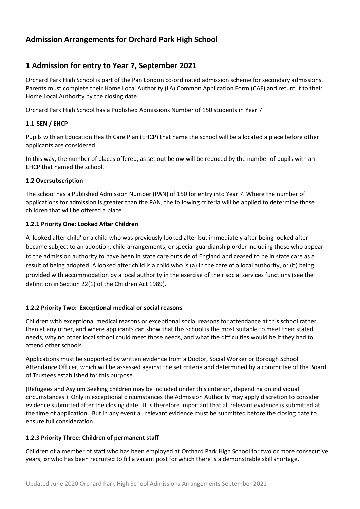# **Admission Arrangements for Orchard Park High School**

# **1 Admission for entry to Year 7, September 2021**

Orchard Park High School is part of the Pan London co-ordinated admission scheme for secondary admissions. Parents must complete their Home Local Authority (LA) Common Application Form (CAF) and return it to their Home Local Authority by the closing date.

Orchard Park High School has a Published Admissions Number of 150 students in Year 7.

### **1.1 SEN / EHCP**

Pupils with an Education Health Care Plan (EHCP) that name the school will be allocated a place before other applicants are considered.

In this way, the number of places offered, as set out below will be reduced by the number of pupils with an EHCP that named the school.

### **1.2 Oversubscription**

The school has a Published Admission Number (PAN) of 150 for entry into Year 7. Where the number of applications for admission is greater than the PAN, the following criteria will be applied to determine those children that will be offered a place.

### **1.2.1 Priority One: Looked After Children**

A 'looked after child' or a child who was previously looked after but immediately after being looked after became subject to an adoption, child arrangements, or special guardianship order including those who appear to the admission authority to have been in state care outside of England and ceased to be in state care as a result of being adopted. A looked after child is a child who is (a) in the care of a local authority, or (b) being provided with accommodation by a local authority in the exercise of their social services functions (see the definition in Section 22(1) of the Children Act 1989).

#### **1.2.2 Priority Two: Exceptional medical or social reasons**

Children with exceptional medical reasons or exceptional social reasons for attendance at this school rather than at any other, and where applicants can show that this school is the most suitable to meet their stated needs, why no other local school could meet those needs, and what the difficulties would be if they had to attend other schools.

Applications must be supported by written evidence from a Doctor, Social Worker or Borough School Attendance Officer, which will be assessed against the set criteria and determined by a committee of the Board of Trustees established for this purpose.

(Refugees and Asylum Seeking children may be included under this criterion, depending on individual circumstances.) Only in exceptional circumstances the Admission Authority may apply discretion to consider evidence submitted after the closing date. It is therefore important that all relevant evidence is submitted at the time of application. But in any event all relevant evidence must be submitted before the closing date to ensure full consideration.

#### **1.2.3 Priority Three: Children of permanent staff**

Children of a member of staff who has been employed at Orchard Park High School for two or more consecutive years; **or** who has been recruited to fill a vacant post for which there is a demonstrable skill shortage.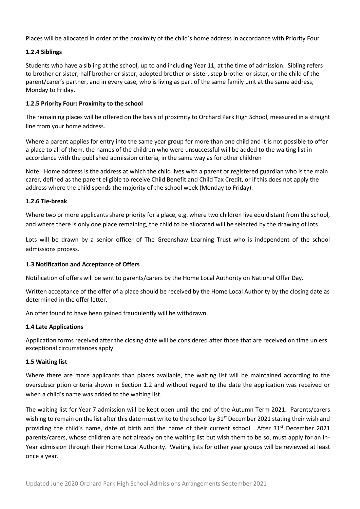Places will be allocated in order of the proximity of the child's home address in accordance with Priority Four.

#### **1.2.4 Siblings**

Students who have a sibling at the school, up to and including Year 11, at the time of admission. Sibling refers to brother or sister, half brother or sister, adopted brother or sister, step brother or sister, or the child of the parent/carer's partner, and in every case, who is living as part of the same family unit at the same address, Monday to Friday.

#### **1.2.5 Priority Four: Proximity to the school**

The remaining places will be offered on the basis of proximity to Orchard Park High School, measured in a straight line from your home address.

Where a parent applies for entry into the same year group for more than one child and it is not possible to offer a place to all of them, the names of the children who were unsuccessful will be added to the waiting list in accordance with the published admission criteria, in the same way as for other children

Note: Home address is the address at which the child lives with a parent or registered guardian who is the main carer, defined as the parent eligible to receive Child Benefit and Child Tax Credit, or if this does not apply the address where the child spends the majority of the school week (Monday to Friday).

#### **1.2.6 Tie-break**

Where two or more applicants share priority for a place, e.g. where two children live equidistant from the school, and where there is only one place remaining, the child to be allocated will be selected by the drawing of lots.

Lots will be drawn by a senior officer of The Greenshaw Learning Trust who is independent of the school admissions process.

#### **1.3 Notification and Acceptance of Offers**

Notification of offers will be sent to parents/carers by the Home Local Authority on National Offer Day.

Written acceptance of the offer of a place should be received by the Home Local Authority by the closing date as determined in the offer letter.

An offer found to have been gained fraudulently will be withdrawn.

#### **1.4 Late Applications**

Application forms received after the closing date will be considered after those that are received on time unless exceptional circumstances apply.

#### **1.5 Waiting list**

Where there are more applicants than places available, the waiting list will be maintained according to the oversubscription criteria shown in Section 1.2 and without regard to the date the application was received or when a child's name was added to the waiting list.

The waiting list for Year 7 admission will be kept open until the end of the Autumn Term 2021. Parents/carers wishing to remain on the list after this date must write to the school by 31<sup>st</sup> December 2021 stating their wish and providing the child's name, date of birth and the name of their current school. After 31<sup>st</sup> December 2021 parents/carers, whose children are not already on the waiting list but wish them to be so, must apply for an In-Year admission through their Home Local Authority. Waiting lists for other year groups will be reviewed at least once a year.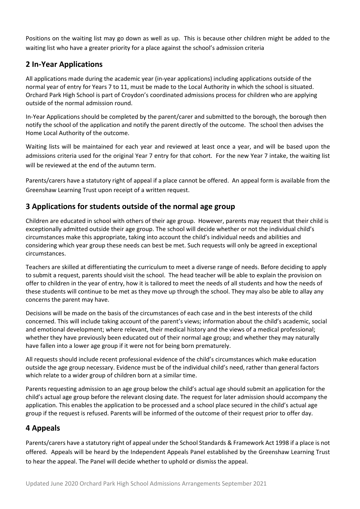Positions on the waiting list may go down as well as up. This is because other children might be added to the waiting list who have a greater priority for a place against the school's admission criteria

# **2 In-Year Applications**

All applications made during the academic year (in-year applications) including applications outside of the normal year of entry for Years 7 to 11, must be made to the Local Authority in which the school is situated. Orchard Park High School is part of Croydon's coordinated admissions process for children who are applying outside of the normal admission round.

In-Year Applications should be completed by the parent/carer and submitted to the borough, the borough then notify the school of the application and notify the parent directly of the outcome. The school then advises the Home Local Authority of the outcome.

Waiting lists will be maintained for each year and reviewed at least once a year, and will be based upon the admissions criteria used for the original Year 7 entry for that cohort. For the new Year 7 intake, the waiting list will be reviewed at the end of the autumn term.

Parents/carers have a statutory right of appeal if a place cannot be offered. An appeal form is available from the Greenshaw Learning Trust upon receipt of a written request.

### **3 Applications for students outside of the normal age group**

Children are educated in school with others of their age group. However, parents may request that their child is exceptionally admitted outside their age group. The school will decide whether or not the individual child's circumstances make this appropriate, taking into account the child's individual needs and abilities and considering which year group these needs can best be met. Such requests will only be agreed in exceptional circumstances.

Teachers are skilled at differentiating the curriculum to meet a diverse range of needs. Before deciding to apply to submit a request, parents should visit the school. The head teacher will be able to explain the provision on offer to children in the year of entry, how it is tailored to meet the needs of all students and how the needs of these students will continue to be met as they move up through the school. They may also be able to allay any concerns the parent may have.

Decisions will be made on the basis of the circumstances of each case and in the best interests of the child concerned. This will include taking account of the parent's views; information about the child's academic, social and emotional development; where relevant, their medical history and the views of a medical professional; whether they have previously been educated out of their normal age group; and whether they may naturally have fallen into a lower age group if it were not for being born prematurely.

All requests should include recent professional evidence of the child's circumstances which make education outside the age group necessary. Evidence must be of the individual child's need, rather than general factors which relate to a wider group of children born at a similar time.

Parents requesting admission to an age group below the child's actual age should submit an application for the child's actual age group before the relevant closing date. The request for later admission should accompany the application. This enables the application to be processed and a school place secured in the child's actual age group if the request is refused. Parents will be informed of the outcome of their request prior to offer day.

### **4 Appeals**

Parents/carers have a statutory right of appeal under the School Standards & Framework Act 1998 if a place is not offered. Appeals will be heard by the Independent Appeals Panel established by the Greenshaw Learning Trust to hear the appeal. The Panel will decide whether to uphold or dismiss the appeal.